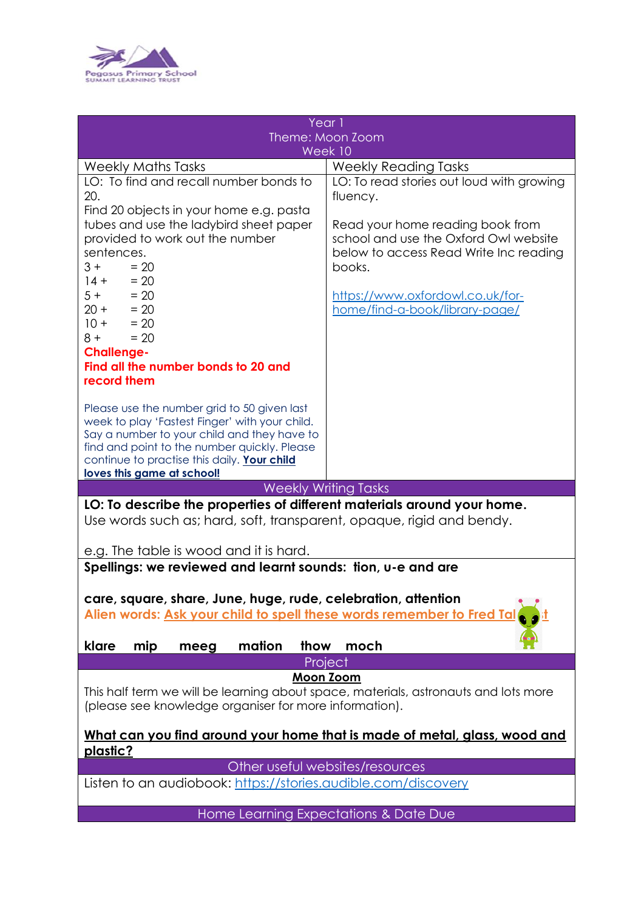

| Year 1                                                                              |                                           |
|-------------------------------------------------------------------------------------|-------------------------------------------|
| Theme: Moon Zoom                                                                    |                                           |
| Week 10                                                                             |                                           |
| <b>Weekly Maths Tasks</b>                                                           | <b>Weekly Reading Tasks</b>               |
| LO: To find and recall number bonds to                                              | LO: To read stories out loud with growing |
| 20.                                                                                 | fluency.                                  |
| Find 20 objects in your home e.g. pasta                                             |                                           |
| tubes and use the ladybird sheet paper                                              | Read your home reading book from          |
| provided to work out the number                                                     | school and use the Oxford Owl website     |
| sentences.                                                                          | below to access Read Write Inc reading    |
| $3 +$<br>$= 20$                                                                     | books.                                    |
| $14 +$<br>$= 20$                                                                    |                                           |
| $5 + 20$                                                                            | https://www.oxfordowl.co.uk/for-          |
| $20 + 20$                                                                           | home/find-a-book/library-page/            |
| $10 +$<br>$= 20$                                                                    |                                           |
| $= 20$<br>$8 +$                                                                     |                                           |
| <b>Challenge-</b>                                                                   |                                           |
| Find all the number bonds to 20 and                                                 |                                           |
| record them                                                                         |                                           |
|                                                                                     |                                           |
| Please use the number grid to 50 given last                                         |                                           |
| week to play 'Fastest Finger' with your child.                                      |                                           |
| Say a number to your child and they have to                                         |                                           |
| find and point to the number quickly. Please                                        |                                           |
| continue to practise this daily. Your child                                         |                                           |
| loves this game at school!                                                          |                                           |
| <b>Weekly Writing Tasks</b>                                                         |                                           |
| LO: To describe the properties of different materials around your home.             |                                           |
| Use words such as; hard, soft, transparent, opaque, rigid and bendy.                |                                           |
|                                                                                     |                                           |
| e.g. The table is wood and it is hard.                                              |                                           |
| Spellings: we reviewed and learnt sounds: tion, u-e and are                         |                                           |
|                                                                                     |                                           |
|                                                                                     |                                           |
| care, square, share, June, huge, rude, celebration, attention                       |                                           |
| Alien words: Ask your child to spell these words remember to Fred Tal               |                                           |
|                                                                                     |                                           |
| klare<br>mation<br>mip<br>thow<br>meeg                                              | moch                                      |
| Project                                                                             |                                           |
| <b>Moon Zoom</b>                                                                    |                                           |
| This half term we will be learning about space, materials, astronauts and lots more |                                           |
| (please see knowledge organiser for more information).                              |                                           |
|                                                                                     |                                           |
| <u>What can you find around your home that is made of metal, glass, wood and</u>    |                                           |
| plastic?                                                                            |                                           |
| Other useful websites/resources                                                     |                                           |
| Listen to an audiobook: https://stories.audible.com/discovery                       |                                           |
|                                                                                     |                                           |
| Home Learning Expectations & Date Due                                               |                                           |